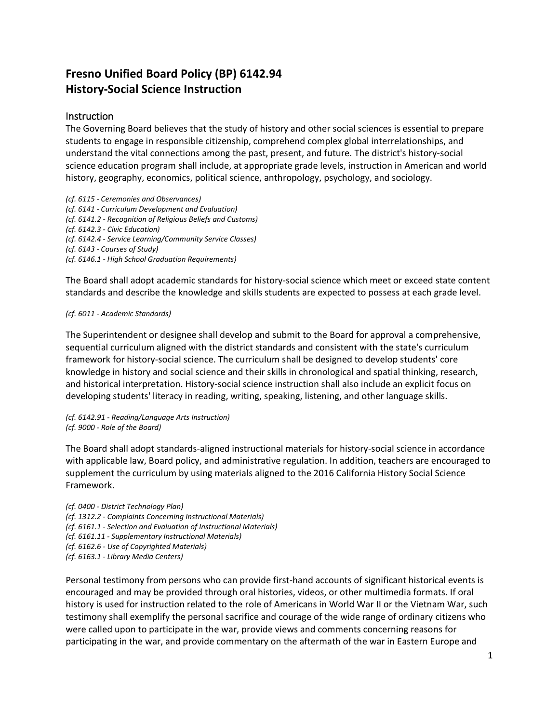## **Fresno Unified Board Policy (BP) 6142.94 History-Social Science Instruction**

## Instruction

The Governing Board believes that the study of history and other social sciences is essential to prepare students to engage in responsible citizenship, comprehend complex global interrelationships, and understand the vital connections among the past, present, and future. The district's history-social science education program shall include, at appropriate grade levels, instruction in American and world history, geography, economics, political science, anthropology, psychology, and sociology.

*(cf. 6115 - Ceremonies and Observances) (cf. 6141 - Curriculum Development and Evaluation) (cf. 6141.2 - Recognition of Religious Beliefs and Customs) (cf. 6142.3 - Civic Education) (cf. 6142.4 - Service Learning/Community Service Classes) (cf. 6143 - Courses of Study) (cf. 6146.1 - High School Graduation Requirements)*

The Board shall adopt academic standards for history-social science which meet or exceed state content standards and describe the knowledge and skills students are expected to possess at each grade level.

## *(cf. 6011 - Academic Standards)*

The Superintendent or designee shall develop and submit to the Board for approval a comprehensive, sequential curriculum aligned with the district standards and consistent with the state's curriculum framework for history-social science. The curriculum shall be designed to develop students' core knowledge in history and social science and their skills in chronological and spatial thinking, research, and historical interpretation. History-social science instruction shall also include an explicit focus on developing students' literacy in reading, writing, speaking, listening, and other language skills.

*(cf. 6142.91 - Reading/Language Arts Instruction) (cf. 9000 - Role of the Board)*

The Board shall adopt standards-aligned instructional materials for history-social science in accordance with applicable law, Board policy, and administrative regulation. In addition, teachers are encouraged to supplement the curriculum by using materials aligned to the 2016 California History Social Science Framework.

*(cf. 0400 - District Technology Plan) (cf. 1312.2 - Complaints Concerning Instructional Materials) (cf. 6161.1 - Selection and Evaluation of Instructional Materials) (cf. 6161.11 - Supplementary Instructional Materials) (cf. 6162.6 - Use of Copyrighted Materials) (cf. 6163.1 - Library Media Centers)*

Personal testimony from persons who can provide first-hand accounts of significant historical events is encouraged and may be provided through oral histories, videos, or other multimedia formats. If oral history is used for instruction related to the role of Americans in World War II or the Vietnam War, such testimony shall exemplify the personal sacrifice and courage of the wide range of ordinary citizens who were called upon to participate in the war, provide views and comments concerning reasons for participating in the war, and provide commentary on the aftermath of the war in Eastern Europe and